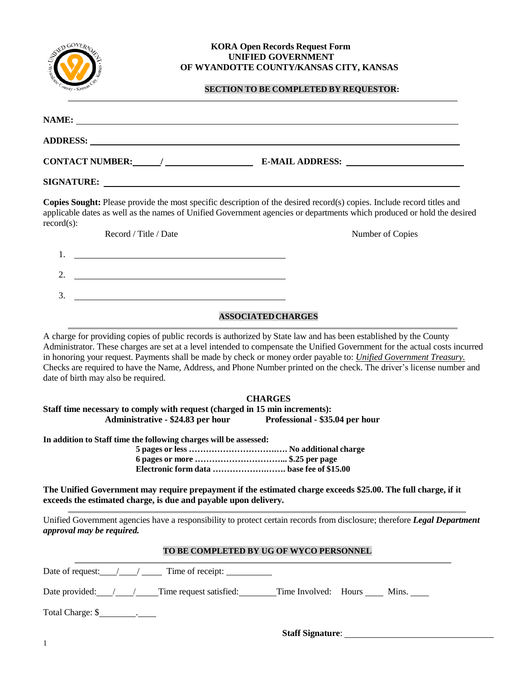

#### **KORA Open Records Request Form UNIFIED GOVERNMENT OF WYANDOTTE COUNTY/KANSAS CITY, KANSAS**

### **SECTION TO BE COMPLETED BY REQUESTOR:**

| NAME:<br><u> 1989 - Johann Harry Harry Harry Harry Harry Harry Harry Harry Harry Harry Harry Harry Harry Harry Harry Harry</u> |                                                                                                                        |
|--------------------------------------------------------------------------------------------------------------------------------|------------------------------------------------------------------------------------------------------------------------|
|                                                                                                                                |                                                                                                                        |
| <b>CONTACT NUMBER:</b>                                                                                                         |                                                                                                                        |
|                                                                                                                                |                                                                                                                        |
|                                                                                                                                | Conies Sought: Please provide the most specific description of the desired record(s) copies. Include record titles and |

**Copies Sought:** Please provide the most specific description of the desired record(s) copies. Include record titles and applicable dates as well as the names of Unified Government agencies or departments which produced or hold the desired record(s):

| 1. |  |  |
|----|--|--|
| 2. |  |  |
| 3. |  |  |

Record / Title / Date Number of Copies

## **ASSOCIATEDCHARGES**

A charge for providing copies of public records is authorized by State law and has been established by the County Administrator. These charges are set at a level intended to compensate the Unified Government for the actual costs incurred in honoring your request. Payments shall be made by check or money order payable to: *Unified Government Treasury.* Checks are required to have the Name, Address, and Phone Number printed on the check. The driver's license number and date of birth may also be required.

## **CHARGES**

**Staff time necessary to comply with request (charged in 15 min increments): Administrative - \$24.83 per hour Professional - \$35.04 per hour**

**In addition to Staff time the following charges will be assessed:**

**5 pages or less ………………………….…. No additional charge 6 pages or more …………………………... \$.25 per page Electronic form data ……………….……. base fee of \$15.00**

**The Unified Government may require prepayment if the estimated charge exceeds \$25.00. The full charge, if it exceeds the estimated charge, is due and payable upon delivery.**

Unified Government agencies have a responsibility to protect certain records from disclosure; therefore *Legal Department approval may be required.*

#### **TO BE COMPLETED BY UG OF WYCO PERSONNEL**

Date of request:  $\frac{1}{2}$  / Time of receipt:

Date provided: / / Time request satisfied: Time Involved: Hours Mins.

Total Charge: \$

**Staff Signature**: